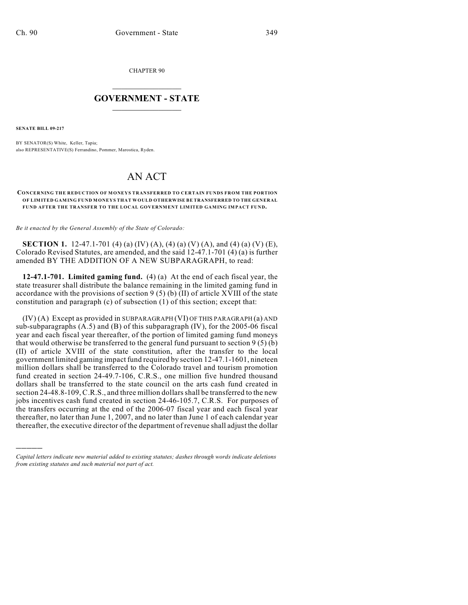CHAPTER 90

## $\mathcal{L}_\text{max}$  . The set of the set of the set of the set of the set of the set of the set of the set of the set of the set of the set of the set of the set of the set of the set of the set of the set of the set of the set **GOVERNMENT - STATE**  $\_$   $\_$   $\_$   $\_$   $\_$   $\_$   $\_$   $\_$   $\_$

**SENATE BILL 09-217**

)))))

BY SENATOR(S) White, Keller, Tapia; also REPRESENTATIVE(S) Ferrandino, Pommer, Marostica, Ryden.

## AN ACT

## **CONCERNING THE REDUCTION OF MONEYS TRANSFERRED TO CERTAIN FUNDS FROM THE PORTION OF LIMITED GAMING FUND MONEYS THAT WOULD OTHERWISE BE TRANSFERRED TO THE GENERAL FUND AFTER THE TRANSFER TO THE LOCAL GOVERNMENT LIMITED GAMING IMPACT FUND.**

*Be it enacted by the General Assembly of the State of Colorado:*

**SECTION 1.** 12-47.1-701 (4) (a) (IV) (A), (4) (a) (V) (A), and (4) (a) (V) (E), Colorado Revised Statutes, are amended, and the said 12-47.1-701 (4) (a) is further amended BY THE ADDITION OF A NEW SUBPARAGRAPH, to read:

**12-47.1-701. Limited gaming fund.** (4) (a) At the end of each fiscal year, the state treasurer shall distribute the balance remaining in the limited gaming fund in accordance with the provisions of section 9 (5) (b) (II) of article XVIII of the state constitution and paragraph (c) of subsection (1) of this section; except that:

(IV) (A) Except as provided in SUBPARAGRAPH (VI) OF THIS PARAGRAPH (a) AND sub-subparagraphs  $(A.5)$  and  $(B)$  of this subparagraph  $(IV)$ , for the 2005-06 fiscal year and each fiscal year thereafter, of the portion of limited gaming fund moneys that would otherwise be transferred to the general fund pursuant to section 9 (5) (b) (II) of article XVIII of the state constitution, after the transfer to the local government limited gaming impact fund required by section 12-47.1-1601, nineteen million dollars shall be transferred to the Colorado travel and tourism promotion fund created in section 24-49.7-106, C.R.S., one million five hundred thousand dollars shall be transferred to the state council on the arts cash fund created in section 24-48.8-109, C.R.S., and three million dollars shall be transferred to the new jobs incentives cash fund created in section 24-46-105.7, C.R.S. For purposes of the transfers occurring at the end of the 2006-07 fiscal year and each fiscal year thereafter, no later than June 1, 2007, and no later than June 1 of each calendar year thereafter, the executive director of the department of revenue shall adjust the dollar

*Capital letters indicate new material added to existing statutes; dashes through words indicate deletions from existing statutes and such material not part of act.*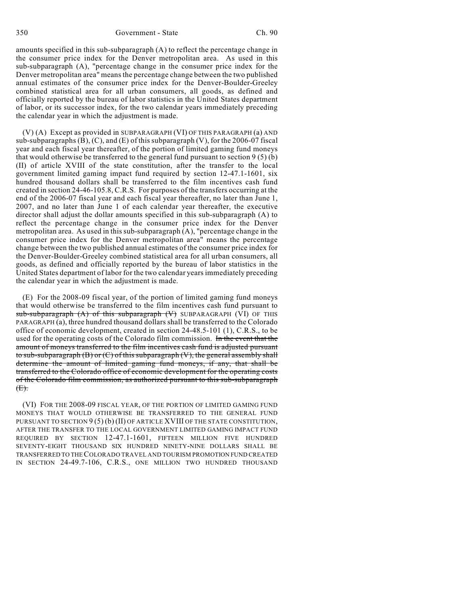amounts specified in this sub-subparagraph (A) to reflect the percentage change in the consumer price index for the Denver metropolitan area. As used in this sub-subparagraph (A), "percentage change in the consumer price index for the Denver metropolitan area" means the percentage change between the two published annual estimates of the consumer price index for the Denver-Boulder-Greeley combined statistical area for all urban consumers, all goods, as defined and officially reported by the bureau of labor statistics in the United States department of labor, or its successor index, for the two calendar years immediately preceding the calendar year in which the adjustment is made.

(V) (A) Except as provided in SUBPARAGRAPH (VI) OF THIS PARAGRAPH (a) AND sub-subparagraphs  $(B)$ ,  $(C)$ , and  $(E)$  of this subparagraph  $(V)$ , for the 2006-07 fiscal year and each fiscal year thereafter, of the portion of limited gaming fund moneys that would otherwise be transferred to the general fund pursuant to section  $9(5)(b)$ (II) of article XVIII of the state constitution, after the transfer to the local government limited gaming impact fund required by section 12-47.1-1601, six hundred thousand dollars shall be transferred to the film incentives cash fund created in section 24-46-105.8, C.R.S. For purposes of the transfers occurring at the end of the 2006-07 fiscal year and each fiscal year thereafter, no later than June 1, 2007, and no later than June 1 of each calendar year thereafter, the executive director shall adjust the dollar amounts specified in this sub-subparagraph (A) to reflect the percentage change in the consumer price index for the Denver metropolitan area. As used in this sub-subparagraph (A), "percentage change in the consumer price index for the Denver metropolitan area" means the percentage change between the two published annual estimates of the consumer price index for the Denver-Boulder-Greeley combined statistical area for all urban consumers, all goods, as defined and officially reported by the bureau of labor statistics in the United States department of labor for the two calendar years immediately preceding the calendar year in which the adjustment is made.

(E) For the 2008-09 fiscal year, of the portion of limited gaming fund moneys that would otherwise be transferred to the film incentives cash fund pursuant to sub-subparagraph (A) of this subparagraph (V) SUBPARAGRAPH (VI) OF THIS PARAGRAPH (a), three hundred thousand dollars shall be transferred to the Colorado office of economic development, created in section 24-48.5-101 (1), C.R.S., to be used for the operating costs of the Colorado film commission. In the event that the amount of moneys transferred to the film incentives cash fund is adjusted pursuant to sub-subparagraph  $(B)$  or  $(C)$  of this subparagraph  $(V)$ , the general assembly shall determine the amount of limited gaming fund moneys, if any, that shall be transferred to the Colorado office of economic development for the operating costs of the Colorado film commission, as authorized pursuant to this sub-subparagraph  $(E)$ .

(VI) FOR THE 2008-09 FISCAL YEAR, OF THE PORTION OF LIMITED GAMING FUND MONEYS THAT WOULD OTHERWISE BE TRANSFERRED TO THE GENERAL FUND PURSUANT TO SECTION  $9(5)(b)(II)$  OF ARTICLE XVIII OF THE STATE CONSTITUTION, AFTER THE TRANSFER TO THE LOCAL GOVERNMENT LIMITED GAMING IMPACT FUND REQUIRED BY SECTION 12-47.1-1601, FIFTEEN MILLION FIVE HUNDRED SEVENTY-EIGHT THOUSAND SIX HUNDRED NINETY-NINE DOLLARS SHALL BE TRANSFERRED TO THE COLORADO TRAVEL AND TOURISM PROMOTION FUND CREATED IN SECTION 24-49.7-106, C.R.S., ONE MILLION TWO HUNDRED THOUSAND